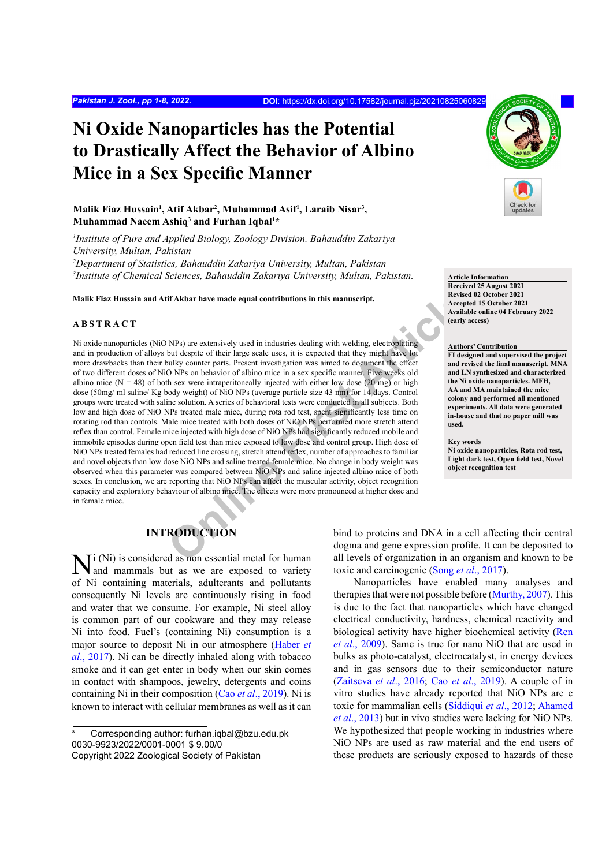# **Ni Oxide Nanoparticles has the Potential to Drastically Affect the Behavior of Albino Mice in a Sex Specific Manner**

# **Malik Fiaz Hussain1 , Atif Akbar2 , Muhammad Asif1 , Laraib Nisar3 , Muhammad Naeem Ashiq3 and Furhan Iqbal1 \***

 *Institute of Pure and Applied Biology, Zoology Division. Bahauddin Zakariya University, Multan, Pakistan Department of Statistics, Bahauddin Zakariya University, Multan, Pakistan Institute of Chemical Sciences, Bahauddin Zakariya University, Multan, Pakistan.*

**Malik Fiaz Hussain and Atif Akbar have made equal contributions in this manuscript.**

#### **ABSTRACT**

**Online First Article** Ni oxide nanoparticles (NiO NPs) are extensively used in industries dealing with welding, electroplating and in production of alloys but despite of their large scale uses, it is expected that they might have lot more drawbacks than their bulky counter parts. Present investigation was aimed to document the effect of two different doses of NiO NPs on behavior of albino mice in a sex specific manner. Five weeks old albino mice ( $N = 48$ ) of both sex were intraperitoneally injected with either low dose (20 mg) or high dose (50mg/ ml saline/ Kg body weight) of NiO NPs (average particle size 43 nm) for 14 days. Control groups were treated with saline solution. A series of behavioral tests were conducted in all subjects. Both low and high dose of NiO NPs treated male mice, during rota rod test, spent significantly less time on rotating rod than controls. Male mice treated with both doses of NiO NPs performed more stretch attend reflex than control. Female mice injected with high dose of NiO NPs had significantly reduced mobile and immobile episodes during open field test than mice exposed to low dose and control group. High dose of NiO NPs treated females had reduced line crossing, stretch attend reflex, number of approaches to familiar and novel objects than low dose NiO NPs and saline treated female mice. No change in body weight was observed when this parameter was compared between NiO NPs and saline injected albino mice of both sexes. In conclusion, we are reporting that NiO NPs can affect the muscular activity, object recognition capacity and exploratory behaviour of albino mice. The effects were more pronounced at higher dose and in female mice.

# **INTRODUCTION**

**N**<sup>i</sup> (Ni) is considered as non essential metal for human and mammals but as we are exposed to variety of Ni containing materials, adulterants and pollutants consequently Ni levels are continuously rising in food and water that we consume. For example, Ni steel alloy is common part of our cookware and they may release Ni into food. Fuel's (containing Ni) consumption is a major source to deposit Ni in our atmosphere (Haber *et al*., 2017). Ni can be directly inhaled along with tobacco smoke and it can get enter in body when our skin comes in contact with shampoos, jewelry, detergents and coins containing Ni in their composition (Cao *et al*., 2019). Ni is known to interact with cellular membranes as well as it can



**Article Information Received 25 August 2021 Revised 02 October 2021 Accepted 15 October 2021 Available online 04 February 2022 (early access)**

#### **Authors' Contribution**

**FI designed and supervised the project and revised the final manuscript. MNA and LN synthesized and characterized the Ni oxide nanoparticles. MFH, AA and MA maintained the mice colony and performed all mentioned experiments. All data were generated in-house and that no paper mill was used.**

#### **Key words**

**Ni oxide nanoparticles, Rota rod test, Light dark test, Open field test, Novel object recognition test**

bind to proteins and DNA in a cell affecting their central dogma and gene expression profile. It can be deposited to all levels of organization in an organism and known to be toxic and carcinogenic (Song *et al*., 2017).

Nanoparticles have enabled many analyses and therapies that were not possible before (Murthy, 2007). This is due to the fact that nanoparticles which have changed electrical conductivity, hardness, chemical reactivity and biological activity have higher biochemical activity (Ren *et al*., 2009). Same is true for nano NiO that are used in bulks as photo-catalyst, electrocatalyst, in energy devices and in gas sensors due to their semiconductor nature (Zaitseva *et al*., 2016; Cao *et al*., 2019). A couple of in vitro studies have already reported that NiO NPs are e toxic for mammalian cells (Siddiqui *et al*., 2012; Ahamed *et al*., 2013) but in vivo studies were lacking for NiO NPs. We hypothesized that people working in industries where NiO NPs are used as raw material and the end users of these products are seriously exposed to hazards of these

Corresponding author: furhan.iqbal@bzu.edu.pk 0030-9923/2022/0001-0001 \$ 9.00/0

Copyright 2022 Zoological Society of Pakistan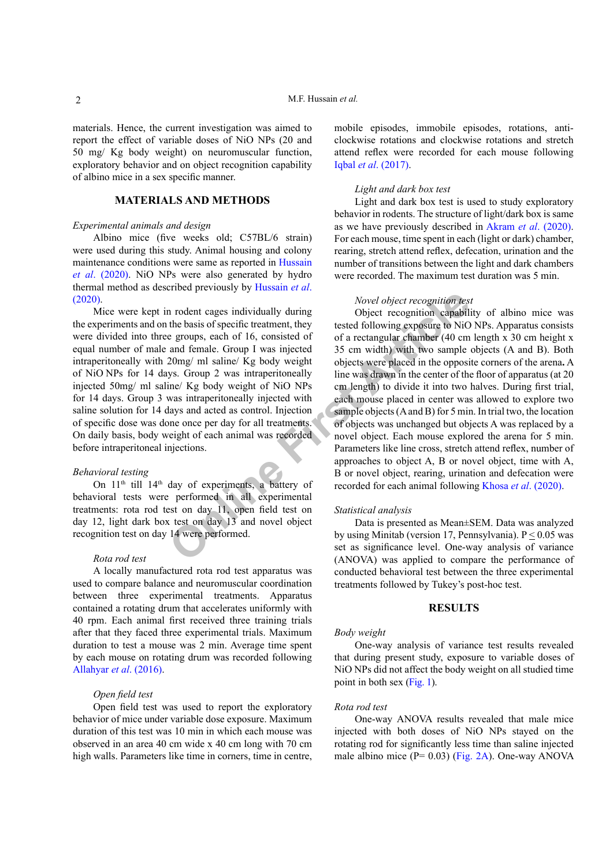materials. Hence, the current investigation was aimed to report the effect of variable doses of NiO NPs (20 and 50 mg/ Kg body weight) on neuromuscular function, exploratory behavior and on object recognition capability of albino mice in a sex specific manner.

# **MATERIALS AND METHODS**

#### *Experimental animals and design*

Albino mice (five weeks old; C57BL/6 strain) were used during this study. Animal housing and colony maintenance conditions were same as reported in Hussain *et al*. (2020). NiO NPs were also generated by hydro thermal method as described previously by Hussain *et al*. (2020).

Mice were kept in rodent cages individually during the experiments and on the basis of specific treatment, they were divided into three groups, each of 16, consisted of equal number of male and female. Group I was injected intraperitoneally with 20mg/ ml saline/ Kg body weight of NiO NPs for 14 days. Group 2 was intraperitoneally injected 50mg/ ml saline/ Kg body weight of NiO NPs for 14 days. Group 3 was intraperitoneally injected with saline solution for 14 days and acted as control. Injection of specific dose was done once per day for all treatments. On daily basis, body weight of each animal was recorded before intraperitoneal injections.

#### *Behavioral testing*

On  $11<sup>th</sup>$  till  $14<sup>th</sup>$  day of experiments, a battery of behavioral tests were performed in all experimental treatments: rota rod test on day 11, open field test on day 12, light dark box test on day 13 and novel object recognition test on day 14 were performed.

#### *Rota rod test*

A locally manufactured rota rod test apparatus was used to compare balance and neuromuscular coordination between three experimental treatments. Apparatus contained a rotating drum that accelerates uniformly with 40 rpm. Each animal first received three training trials after that they faced three experimental trials. Maximum duration to test a mouse was 2 min. Average time spent by each mouse on rotating drum was recorded following Allahyar *et al*. (2016).

#### *Open field test*

Open field test was used to report the exploratory behavior of mice under variable dose exposure. Maximum duration of this test was 10 min in which each mouse was observed in an area 40 cm wide x 40 cm long with 70 cm high walls. Parameters like time in corners, time in centre,

mobile episodes, immobile episodes, rotations, anticlockwise rotations and clockwise rotations and stretch attend reflex were recorded for each mouse following Iqbal *et al*. (2017).

#### *Light and dark box test*

Light and dark box test is used to study exploratory behavior in rodents. The structure of light/dark box is same as we have previously described in Akram *et al*. (2020). For each mouse, time spent in each (light or dark) chamber, rearing, stretch attend reflex, defecation, urination and the number of transitions between the light and dark chambers were recorded. The maximum test duration was 5 min.

## *Novel object recognition test*

Novel object recognition test<br>
the basis of specific treatment, they<br>
e groups, each of 16, consisted of 16 consisted<br>
and female. Group I was injected 35 cm width with two sample<br>
20mg/ml saline/Kg body weight<br>
20mg/ml sa Object recognition capability of albino mice was tested following exposure to NiO NPs. Apparatus consists of a rectangular chamber (40 cm length x 30 cm height x 35 cm width) with two sample objects (A and B). Both objects were placed in the opposite corners of the arena**.** A line was drawn in the center of the floor of apparatus (at 20 cm length) to divide it into two halves. During first trial, each mouse placed in center was allowed to explore two sample objects (A and B) for 5 min. In trial two, the location of objects was unchanged but objects A was replaced by a novel object. Each mouse explored the arena for 5 min. Parameters like line cross, stretch attend reflex, number of approaches to object A, B or novel object, time with A, B or novel object, rearing, urination and defecation were recorded for each animal following Khosa *et al*. (2020).

#### *Statistical analysis*

Data is presented as Mean±SEM. Data was analyzed by using Minitab (version 17, Pennsylvania).  $P \le 0.05$  was set as significance level. One-way analysis of variance (ANOVA) was applied to compare the performance of conducted behavioral test between the three experimental treatments followed by Tukey's post-hoc test.

### **RESULTS**

#### *Body weight*

One-way analysis of variance test results revealed that during present study, exposure to variable doses of NiO NPs did not affect the body weight on all studied time point in both sex (Fig. 1).

#### *Rota rod test*

One-way ANOVA results revealed that male mice injected with both doses of NiO NPs stayed on the rotating rod for significantly less time than saline injected male albino mice  $(P= 0.03)$  (Fig. 2A). One-way ANOVA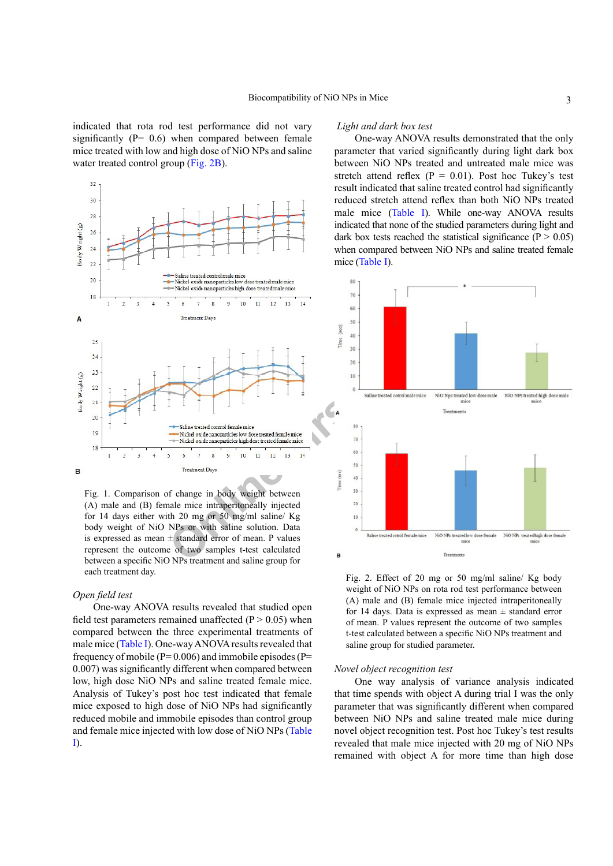indicated that rota rod test performance did not vary significantly ( $P= 0.6$ ) when compared between female mice treated with low and high dose of NiO NPs and saline water treated control group (Fig. 2B).



Fig. 1. Comparison of change in body weight between (A) male and (B) female mice intraperitoneally injected for 14 days either with 20 mg or 50 mg/ml saline/ Kg body weight of NiO NPs or with saline solution. Data is expressed as mean  $\pm$  standard error of mean. P values represent the outcome of two samples t-test calculated between a specific NiO NPs treatment and saline group for each treatment day.

#### *Open field test*

One-way ANOVA results revealed that studied open field test parameters remained unaffected  $(P > 0.05)$  when compared between the three experimental treatments of male mice (Table I). One-way ANOVA results revealed that frequency of mobile ( $P= 0.006$ ) and immobile episodes ( $P=$ 0.007) was significantly different when compared between low, high dose NiO NPs and saline treated female mice. Analysis of Tukey's post hoc test indicated that female mice exposed to high dose of NiO NPs had significantly reduced mobile and immobile episodes than control group and female mice injected with low dose of NiO NPs (Table I).

#### *Light and dark box test*

One-way ANOVA results demonstrated that the only parameter that varied significantly during light dark box between NiO NPs treated and untreated male mice was stretch attend reflex  $(P = 0.01)$ . Post hoc Tukey's test result indicated that saline treated control had significantly reduced stretch attend reflex than both NiO NPs treated male mice (Table I). While one-way ANOVA results indicated that none of the studied parameters during light and dark box tests reached the statistical significance ( $P > 0.05$ ) when compared between NiO NPs and saline treated female mice (Table I).



Fig. 2. Effect of 20 mg or 50 mg/ml saline/ Kg body weight of NiO NPs on rota rod test performance between (A) male and (B) female mice injected intraperitoneally for 14 days. Data is expressed as mean  $\pm$  standard error of mean. P values represent the outcome of two samples t-test calculated between a specific NiO NPs treatment and saline group for studied parameter.

#### *Novel object recognition test*

One way analysis of variance analysis indicated that time spends with object A during trial I was the only parameter that was significantly different when compared between NiO NPs and saline treated male mice during novel object recognition test. Post hoc Tukey's test results revealed that male mice injected with 20 mg of NiO NPs remained with object A for more time than high dose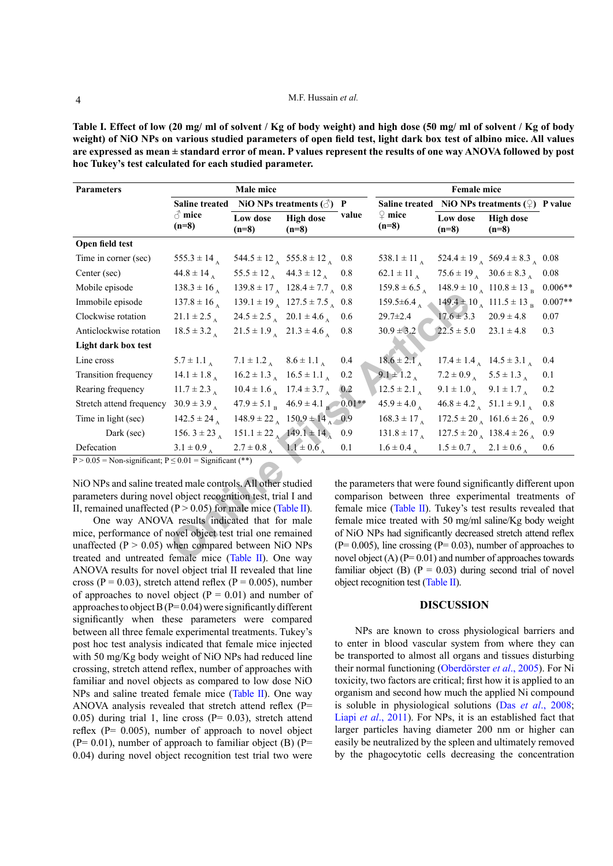**Table I. Effect of low (20 mg/ ml of solvent / Kg of body weight) and high dose (50 mg/ ml of solvent / Kg of body weight) of NiO NPs on various studied parameters of open field test, light dark box test of albino mice. All values are expressed as mean ± standard error of mean. P values represent the results of one way ANOVA followed by post hoc Tukey's test calculated for each studied parameter.** 

| <b>Parameters</b>                                                                                                           | Male mice                                                    |                                                                    |                                                    |                                                                                                                    | <b>Female mice</b>            |                                                           |                                                     |           |  |  |
|-----------------------------------------------------------------------------------------------------------------------------|--------------------------------------------------------------|--------------------------------------------------------------------|----------------------------------------------------|--------------------------------------------------------------------------------------------------------------------|-------------------------------|-----------------------------------------------------------|-----------------------------------------------------|-----------|--|--|
|                                                                                                                             | <b>Saline treated</b>                                        | NiO NPs treatments $(\vec{\triangle})$                             |                                                    |                                                                                                                    |                               | Saline treated NiO NPs treatments $(\circled{2})$ P value |                                                     |           |  |  |
|                                                                                                                             | $\delta$ mice<br>$(n=8)$                                     | Low dose<br>$(n=8)$                                                | <b>High dose</b><br>$(n=8)$                        | value                                                                                                              | $\mathcal{Q}$ mice<br>$(n=8)$ | Low dose<br>$(n=8)$                                       | <b>High dose</b><br>$(n=8)$                         |           |  |  |
| Open field test                                                                                                             |                                                              |                                                                    |                                                    |                                                                                                                    |                               |                                                           |                                                     |           |  |  |
| Time in corner (sec)                                                                                                        | 555.3 $\pm$ 14.                                              |                                                                    | $544.5 \pm 12$ $555.8 \pm 12$ 0.8                  |                                                                                                                    | 538.1 $\pm$ 11                |                                                           | $524.4 \pm 19$ $569.4 \pm 8.3$ 0.08                 |           |  |  |
| Center (sec)                                                                                                                | $44.8 \pm 14$ ,                                              |                                                                    | $55.5 \pm 12$ 44.3 $\pm$ 12                        | 0.8                                                                                                                | 62.1 $\pm$ 11.                |                                                           | $75.6 \pm 19$ $30.6 \pm 8.3$                        | 0.08      |  |  |
| Mobile episode                                                                                                              | $138.3 \pm 16$                                               |                                                                    | $139.8 \pm 17_A$ $128.4 \pm 7.7_A$ 0.8             |                                                                                                                    | $159.8 \pm 6.5$ <sub>A</sub>  |                                                           | $148.9 \pm 10$ $_{\rm A}$ 110.8 $\pm$ 13 $_{\rm B}$ | $0.006**$ |  |  |
| Immobile episode                                                                                                            | $137.8 \pm 16$ <sub>A</sub>                                  |                                                                    | $139.1 \pm 19_A$ $127.5 \pm 7.5_A$ 0.8             |                                                                                                                    | 159.5 $\pm$ 6.4               |                                                           | $149.4 \pm 10$ , $111.5 \pm 13$ <sub>B</sub>        | $0.007**$ |  |  |
| Clockwise rotation                                                                                                          | $21.1 \pm 2.5$ <sub>A</sub>                                  |                                                                    | $24.5 \pm 2.5$ $4.20.1 \pm 4.6$                    | 0.6                                                                                                                | $29.7 \pm 2.4$                | $17.6 \pm 3.3$                                            | $20.9 \pm 4.8$                                      | 0.07      |  |  |
| Anticlockwise rotation                                                                                                      | $18.5 \pm 3.2$                                               |                                                                    | $21.5 \pm 1.9$ $21.3 \pm 4.6$                      | 0.8                                                                                                                | $30.9 \pm 3.2$                | $22.5 \pm 5.0$ $23.1 \pm 4.8$                             |                                                     | 0.3       |  |  |
| Light dark box test                                                                                                         |                                                              |                                                                    |                                                    |                                                                                                                    |                               |                                                           |                                                     |           |  |  |
| Line cross                                                                                                                  | $5.7 \pm 1.1$ <sub>A</sub>                                   | $7.1 \pm 1.2$ $8.6 \pm 1.1$                                        |                                                    | 0.4                                                                                                                | $18.6 \pm 2.1$                | $17.4 \pm 1.4$ $14.5 \pm 3.1$                             |                                                     | 0.4       |  |  |
| Transition frequency                                                                                                        | $14.1 \pm 1.8$                                               |                                                                    | $16.2 \pm 1.3$ $16.5 \pm 1.1$                      | 0.2                                                                                                                | $9.1 \pm 1.2$                 | $7.2 \pm 0.9$ $5.5 \pm 1.3$                               |                                                     | 0.1       |  |  |
| Rearing frequency                                                                                                           | $11.7 \pm 2.3$                                               |                                                                    | $10.4 \pm 1.6$ $17.4 \pm 3.7$                      | 0.2                                                                                                                | $12.5 \pm 2.1$                | $9.1 \pm 1.0_A$ $9.1 \pm 1.7_A$                           |                                                     | 0.2       |  |  |
| Stretch attend frequency                                                                                                    | $30.9 \pm 3.9_A$                                             |                                                                    | $47.9 \pm 5.1_{B}$ $46.9 \pm 4.1_{B}$ 0.01**       |                                                                                                                    | $45.9 \pm 4.0$ <sub>A</sub>   | $46.8 \pm 4.2$ $\frac{1}{4}$ 51.1 $\pm$ 9.1               |                                                     | 0.8       |  |  |
| Time in light (sec)                                                                                                         | $142.5 \pm 24$                                               |                                                                    | $148.9 \pm 22$ $150.9 \pm 14$ 0.9                  |                                                                                                                    | $168.3 \pm 17_A$              |                                                           | $172.5 \pm 20$ 161.6 $\pm 26$                       | 0.9       |  |  |
| Dark (sec)                                                                                                                  | 156. $3 \pm 23_A$                                            |                                                                    | $151.1 \pm 22$ $149.1 \pm 14$ $0.9$                |                                                                                                                    | $131.8 \pm 17$ <sub>A</sub>   |                                                           | $127.5 \pm 20$ $138.4 \pm 26$                       | 0.9       |  |  |
| Defecation                                                                                                                  | $3.1 \pm 0.9$ <sub>A</sub>                                   |                                                                    | $2.7 \pm 0.8$ $\qquad \qquad 1.1 \pm 0.6$ $\qquad$ | 0.1                                                                                                                | $1.6 \pm 0.4$ <sub>A</sub>    | $1.5 \pm 0.7$ $\rm_A$ $2.1 \pm 0.6$ $\rm_A$               |                                                     | 0.6       |  |  |
| $P > 0.05$ = Non-significant; $P \le 0.01$ = Significant (**)                                                               |                                                              |                                                                    |                                                    |                                                                                                                    |                               |                                                           |                                                     |           |  |  |
|                                                                                                                             |                                                              |                                                                    |                                                    |                                                                                                                    |                               |                                                           |                                                     |           |  |  |
| NiO NPs and saline treated male controls. All other studied<br>parameters during novel object recognition test, trial I and |                                                              |                                                                    |                                                    | the parameters that were found significantly different upon<br>comparison between three experimental treatments of |                               |                                                           |                                                     |           |  |  |
| II, remained unaffected ( $P > 0.05$ ) for male mice (Table II).                                                            |                                                              |                                                                    |                                                    | female mice (Table II). Tukey's test results revealed that                                                         |                               |                                                           |                                                     |           |  |  |
| One way ANOVA results indicated that for male                                                                               |                                                              |                                                                    |                                                    | female mice treated with 50 mg/ml saline/Kg body weight                                                            |                               |                                                           |                                                     |           |  |  |
| mice, performance of novel object test trial one remained                                                                   | of NiO NPs had significantly decreased stretch attend reflex |                                                                    |                                                    |                                                                                                                    |                               |                                                           |                                                     |           |  |  |
| unaffected ( $P > 0.05$ ) when compared between NiO NPs                                                                     |                                                              | $(P= 0.005)$ , line crossing $(P= 0.03)$ , number of approaches to |                                                    |                                                                                                                    |                               |                                                           |                                                     |           |  |  |
| treated and untreated female mice (Table II). One way                                                                       |                                                              | novel object (A) ( $P=0.01$ ) and number of approaches towards     |                                                    |                                                                                                                    |                               |                                                           |                                                     |           |  |  |

One way ANOVA results indicated that for male mice, performance of novel object test trial one remained unaffected ( $P > 0.05$ ) when compared between NiO NPs treated and untreated female mice (Table II). One way ANOVA results for novel object trial II revealed that line cross ( $P = 0.03$ ), stretch attend reflex ( $P = 0.005$ ), number of approaches to novel object ( $P = 0.01$ ) and number of approaches to object B ( $P= 0.04$ ) were significantly different significantly when these parameters were compared between all three female experimental treatments. Tukey's post hoc test analysis indicated that female mice injected with 50 mg/Kg body weight of NiO NPs had reduced line crossing, stretch attend reflex, number of approaches with familiar and novel objects as compared to low dose NiO NPs and saline treated female mice (Table II). One way ANOVA analysis revealed that stretch attend reflex (P= 0.05) during trial 1, line cross ( $P = 0.03$ ), stretch attend reflex (P= 0.005), number of approach to novel object  $(P= 0.01)$ , number of approach to familiar object (B)  $(P= 0.01)$ 0.04) during novel object recognition test trial two were

the parameters that were found significantly different upon comparison between three experimental treatments of female mice (Table II). Tukey's test results revealed that female mice treated with 50 mg/ml saline/Kg body weight of NiO NPs had significantly decreased stretch attend reflex  $(P= 0.005)$ , line crossing  $(P= 0.03)$ , number of approaches to novel object (A) (P= 0.01) and number of approaches towards familiar object (B)  $(P = 0.03)$  during second trial of novel object recognition test (Table II).

#### **DISCUSSION**

NPs are known to cross physiological barriers and to enter in blood vascular system from where they can be transported to almost all organs and tissues disturbing their normal functioning (Oberdörster *et al*., 2005). For Ni toxicity, two factors are critical; first how it is applied to an organism and second how much the applied Ni compound is soluble in physiological solutions (Das *et al*., 2008; Liapi *et al*., 2011). For NPs, it is an established fact that larger particles having diameter 200 nm or higher can easily be neutralized by the spleen and ultimately removed by the phagocytotic cells decreasing the concentration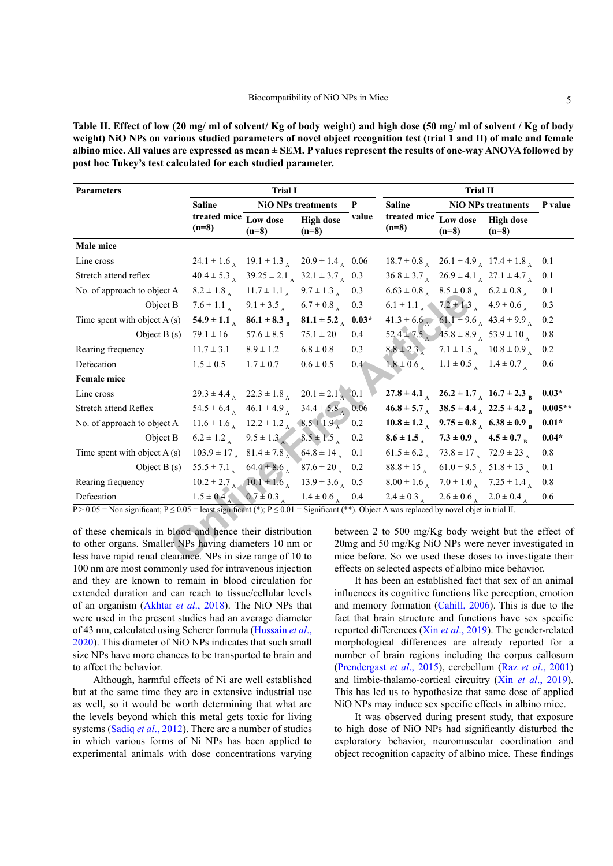**Table II. Effect of low (20 mg/ ml of solvent/ Kg of body weight) and high dose (50 mg/ ml of solvent / Kg of body weight) NiO NPs on various studied parameters of novel object recognition test (trial 1 and II) of male and female albino mice. All values are expressed as mean ± SEM. P values represent the results of one-way ANOVA followed by post hoc Tukey's test calculated for each studied parameter.**

| <b>Parameters</b>                                                                                                                                                                                                                                                                                                                                             | <b>Trial I</b>             |                                                   |                             |               | <b>Trial II</b>                                                                  |                           |                                              |           |  |  |
|---------------------------------------------------------------------------------------------------------------------------------------------------------------------------------------------------------------------------------------------------------------------------------------------------------------------------------------------------------------|----------------------------|---------------------------------------------------|-----------------------------|---------------|----------------------------------------------------------------------------------|---------------------------|----------------------------------------------|-----------|--|--|
|                                                                                                                                                                                                                                                                                                                                                               | <b>Saline</b>              |                                                   | <b>NiO NPs treatments</b>   | P             | <b>Saline</b>                                                                    | <b>NiO NPs treatments</b> |                                              | P value   |  |  |
|                                                                                                                                                                                                                                                                                                                                                               | treated mice<br>$(n=8)$    | Low dose<br>$(n=8)$                               | <b>High dose</b><br>$(n=8)$ | value         | treated mice<br>$(n=8)$                                                          | Low dose<br>$(n=8)$       | <b>High dose</b><br>$(n=8)$                  |           |  |  |
| Male mice                                                                                                                                                                                                                                                                                                                                                     |                            |                                                   |                             |               |                                                                                  |                           |                                              |           |  |  |
| Line cross                                                                                                                                                                                                                                                                                                                                                    |                            | $24.1 \pm 1.6$ $19.1 \pm 1.3$ $20.9 \pm 1.4$ 0.06 |                             |               |                                                                                  |                           | $18.7 \pm 0.8$ $26.1 \pm 4.9$ $17.4 \pm 1.8$ | 0.1       |  |  |
| Stretch attend reflex                                                                                                                                                                                                                                                                                                                                         | $40.4 \pm 5.3$             | $39.25 \pm 2.1$ $\frac{32.1 \pm 3.7}{\mu}$ 0.3    |                             |               | $36.8 \pm 3.7$ $26.9 \pm 4.1$ $27.1 \pm 4.7$                                     |                           |                                              | 0.1       |  |  |
| No. of approach to object A                                                                                                                                                                                                                                                                                                                                   | $8.2 \pm 1.8$ <sub>A</sub> | $11.7 \pm 1.1$ $9.7 \pm 1.3$                      |                             | 0.3           | $6.63 \pm 0.8$ $\phantom{0}8.5 \pm 0.8$ $\phantom{0}6.2 \pm 0.8$ $\phantom{0}4$  |                           |                                              | 0.1       |  |  |
| Object B                                                                                                                                                                                                                                                                                                                                                      |                            | $7.6 \pm 1.1$ $9.1 \pm 3.5$ $6.7 \pm 0.8$         |                             | 0.3           | $6.1 \pm 1.1_A$ $7.2 \pm 1.3_A$ $4.9 \pm 0.6_A$                                  |                           |                                              | 0.3       |  |  |
| Time spent with object $A(s)$                                                                                                                                                                                                                                                                                                                                 | $54.9 \pm 1.1$             | $86.1 \pm 8.3$ $81.1 \pm 5.2$ $0.03*$             |                             |               | $41.3 \pm 6.6$ 61.1 $\pm$ 9.6 43.4 $\pm$ 9.9 4                                   |                           |                                              | 0.2       |  |  |
| Object $B(s)$                                                                                                                                                                                                                                                                                                                                                 | $79.1 \pm 16$              | $57.6 \pm 8.5$                                    | $75.1 \pm 20$               | 0.4           | $52.4 \pm 7.5$ $45.8 \pm 8.9$ $53.9 \pm 10$                                      |                           |                                              | 0.8       |  |  |
| Rearing frequency                                                                                                                                                                                                                                                                                                                                             | $11.7 \pm 3.1$             | $8.9 \pm 1.2$                                     | $6.8 \pm 0.8$               | 0.3           | $8.8 \pm 2.3$ $7.1 \pm 1.5$ $10.8 \pm 0.9$                                       |                           |                                              | 0.2       |  |  |
| Defecation                                                                                                                                                                                                                                                                                                                                                    |                            | $1.5 \pm 0.5$ $1.7 \pm 0.7$                       | $0.6 \pm 0.5$               | $0.4^{\circ}$ | $1.8 \pm 0.6$ $1.1 \pm 0.5$ $1.4 \pm 0.7$                                        |                           |                                              | 0.6       |  |  |
| <b>Female mice</b>                                                                                                                                                                                                                                                                                                                                            |                            |                                                   |                             |               |                                                                                  |                           |                                              |           |  |  |
| Line cross                                                                                                                                                                                                                                                                                                                                                    |                            | $29.3 \pm 4.4$ $22.3 \pm 1.8$ $20.1 \pm 2.1$ 0.1  |                             |               | $27.8 \pm 4.1$ $26.2 \pm 1.7$ $16.7 \pm 2.3$ R                                   |                           |                                              | $0.03*$   |  |  |
| Stretch attend Reflex                                                                                                                                                                                                                                                                                                                                         |                            | $54.5 \pm 6.4$ $46.1 \pm 4.9$ $34.4 \pm 5.8$ 0.06 |                             |               | $46.8 \pm 5.7$ $\qquad \qquad 38.5 \pm 4.4$ $\qquad \qquad 22.5 \pm 4.2$ R       |                           |                                              | $0.005**$ |  |  |
| No. of approach to object A                                                                                                                                                                                                                                                                                                                                   |                            | $11.6 \pm 1.6$ $12.2 \pm 1.2$ $8.5 \pm 1.9$ 0.2   |                             |               | $10.8 \pm 1.2$ , $9.75 \pm 0.8$ , $6.38 \pm 0.9$ <sub>B</sub>                    |                           |                                              | $0.01*$   |  |  |
| Object B                                                                                                                                                                                                                                                                                                                                                      |                            | $6.2 \pm 1.2$ $9.5 \pm 1.3$ $8.5 \pm 1.5$ $0.2$   |                             |               | $8.6 \pm 1.5$ $\qquad 7.3 \pm 0.9$ $\qquad \qquad 4.5 \pm 0.7$ B                 |                           |                                              | $0.04*$   |  |  |
| Time spent with object $A(s)$                                                                                                                                                                                                                                                                                                                                 |                            | $103.9 \pm 17$ $81.4 \pm 7.8$ $64.8 \pm 14$ 0.1   |                             |               | $61.5 \pm 6.2$ , $73.8 \pm 17$ , $72.9 \pm 23$                                   |                           |                                              | 0.8       |  |  |
| Object $B(s)$                                                                                                                                                                                                                                                                                                                                                 |                            | $55.5 \pm 7.1$ $64.4 \pm 8.6$ $87.6 \pm 20$ $0.2$ |                             |               | $88.8 \pm 15$ $61.0 \pm 9.5$ $51.8 \pm 13$                                       |                           |                                              | 0.1       |  |  |
| Rearing frequency                                                                                                                                                                                                                                                                                                                                             |                            | $10.2 \pm 2.7$ $10.1 \pm 1.6$ $13.9 \pm 3.6$ 0.5  |                             |               | $8.00 \pm 1.6$ $7.0 \pm 1.0$ $7.25 \pm 1.4$                                      |                           |                                              | 0.8       |  |  |
| Defecation                                                                                                                                                                                                                                                                                                                                                    |                            | $1.5 \pm 0.4$ $0.7 \pm 0.3$ $1.4 \pm 0.6$ $0.4$   |                             |               | $2.4 \pm 0.3$ <sub>A</sub> $2.6 \pm 0.6$ <sub>A</sub> $2.0 \pm 0.4$ <sub>A</sub> |                           |                                              | 0.6       |  |  |
| $P > 0.05$ = Non significant; $P \le 0.05$ = least significant (*); $P \le 0.01$ = Significant (**). Object A was replaced by novel objet in trial II.                                                                                                                                                                                                        |                            |                                                   |                             |               |                                                                                  |                           |                                              |           |  |  |
| of these chemicals in blood and hence their distribution<br>between 2 to 500 mg/Kg body weight but the effect of<br>20mg and 50 mg/Kg NiO NPs were never investigated in<br>to other organs. Smaller NPs having diameters 10 nm or<br>less have rapid renal clearance. NPs in size range of 10 to<br>mice before. So we used these doses to investigate their |                            |                                                   |                             |               |                                                                                  |                           |                                              |           |  |  |

of these chemicals in blood and hence their distribution to other organs. Smaller NPs having diameters 10 nm or less have rapid renal clearance. NPs in size range of 10 to 100 nm are most commonly used for intravenous injection and they are known to remain in blood circulation for extended duration and can reach to tissue/cellular levels of an organism (Akhtar *et al*., 2018). The NiO NPs that were used in the present studies had an average diameter of 43 nm, calculated using Scherer formula (Hussain *et al*., 2020). This diameter of NiO NPs indicates that such small size NPs have more chances to be transported to brain and to affect the behavior.

Although, harmful effects of Ni are well established but at the same time they are in extensive industrial use as well, so it would be worth determining that what are the levels beyond which this metal gets toxic for living systems (Sadiq *et al*., 2012). There are a number of studies in which various forms of Ni NPs has been applied to experimental animals with dose concentrations varying between 2 to 500 mg/Kg body weight but the effect of 20mg and 50 mg/Kg NiO NPs were never investigated in mice before. So we used these doses to investigate their effects on selected aspects of albino mice behavior.

It has been an established fact that sex of an animal influences its cognitive functions like perception, emotion and memory formation (Cahill, 2006). This is due to the fact that brain structure and functions have sex specific reported differences (Xin *et al*., 2019). The gender-related morphological differences are already reported for a number of brain regions including the corpus callosum (Prendergast *et al*., 2015), cerebellum (Raz *et al*., 2001) and limbic-thalamo-cortical circuitry (Xin *et al*., 2019). This has led us to hypothesize that same dose of applied NiO NPs may induce sex specific effects in albino mice.

It was observed during present study, that exposure to high dose of NiO NPs had significantly disturbed the exploratory behavior, neuromuscular coordination and object recognition capacity of albino mice. These findings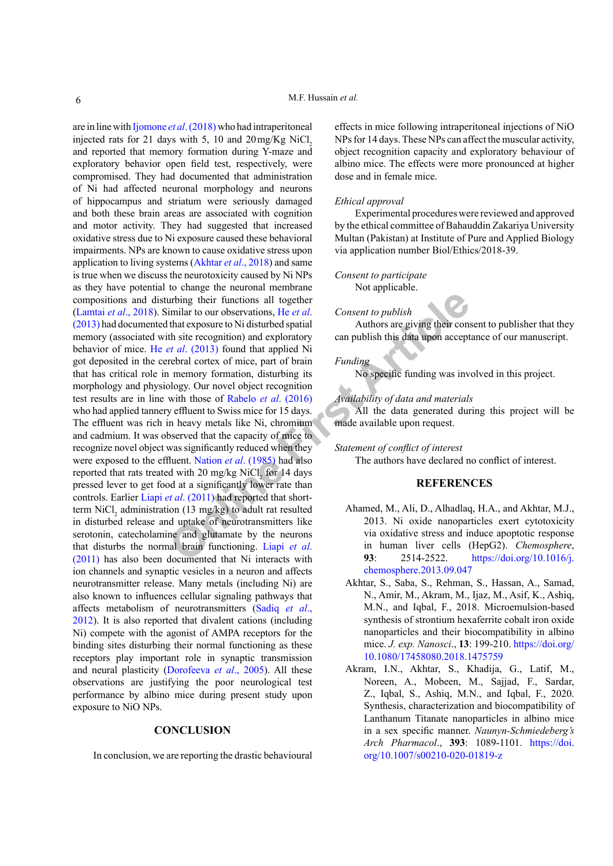ation that the recognition and explorate that that the securition of expection) and explorate to Ni disturbed spatial and the securition of exploration of exploration and explorate the *et al.* (2013) found that applied Ni are in line with Ijomone *et al*. (2018) who had intraperitoneal injected rats for 21 days with 5, 10 and  $20 \text{ mg/Kg NiCl}_2$ and reported that memory formation during Y-maze and exploratory behavior open field test, respectively, were compromised. They had documented that administration of Ni had affected neuronal morphology and neurons of hippocampus and striatum were seriously damaged and both these brain areas are associated with cognition and motor activity. They had suggested that increased oxidative stress due to Ni exposure caused these behavioral impairments. NPs are known to cause oxidative stress upon application to living systems (Akhtar *et al*., 2018) and same is true when we discuss the neurotoxicity caused by Ni NPs as they have potential to change the neuronal membrane compositions and disturbing their functions all together (Lamtai *et al*., 2018). Similar to our observations, He *et al*. (2013) had documented that exposure to Ni disturbed spatial memory (associated with site recognition) and exploratory behavior of mice. He *et al*. (2013) found that applied Ni got deposited in the cerebral cortex of mice, part of brain that has critical role in memory formation, disturbing its morphology and physiology. Our novel object recognition test results are in line with those of Rabelo *et al*. (2016) who had applied tannery effluent to Swiss mice for 15 days. The effluent was rich in heavy metals like Ni, chromium and cadmium. It was observed that the capacity of mice to recognize novel object was significantly reduced when they were exposed to the effluent. Nation *et al*. (1985) had also reported that rats treated with 20 mg/kg  $NiCl<sub>2</sub>$  for 14 days pressed lever to get food at a significantly lower rate than controls. Earlier Liapi *et al*. (2011) had reported that shortterm NiCl<sub>2</sub> administration (13 mg/kg) to adult rat resulted in disturbed release and uptake of neurotransmitters like serotonin, catecholamine and glutamate by the neurons that disturbs the normal brain functioning. Liapi *et al*. (2011) has also been documented that Ni interacts with ion channels and synaptic vesicles in a neuron and affects neurotransmitter release. Many metals (including Ni) are also known to influences cellular signaling pathways that affects metabolism of neurotransmitters (Sadiq *et al*., 2012). It is also reported that divalent cations (including Ni) compete with the agonist of AMPA receptors for the binding sites disturbing their normal functioning as these receptors play important role in synaptic transmission and neural plasticity (Dorofeeva *et al*., 2005). All these observations are justifying the poor neurological test performance by albino mice during present study upon exposure to NiO NPs.

### **CONCLUSION**

In conclusion, we are reporting the drastic behavioural

effects in mice following intraperitoneal injections of NiO NPs for 14 days. These NPs can affect the muscular activity, object recognition capacity and exploratory behaviour of albino mice. The effects were more pronounced at higher dose and in female mice.

#### *Ethical approval*

Experimental procedures were reviewed and approved by the ethical committee of Bahauddin Zakariya University Multan (Pakistan) at Institute of Pure and Applied Biology via application number Biol/Ethics/2018-39.

# *Consent to participate* Not applicable.

# *Consent to publish*

Authors are giving their consent to publisher that they can publish this data upon acceptance of our manuscript.

# *Funding*

No specific funding was involved in this project.

### *Availability of data and materials*

All the data generated during this project will be made available upon request.

### *Statement of conflict of interest*

The authors have declared no conflict of interest.

# **REFERENCES**

- Ahamed, M., Ali, D., Alhadlaq, H.A., and Akhtar, M.J., 2013. Ni oxide nanoparticles exert cytotoxicity via oxidative stress and induce apoptotic response in human liver cells (HepG2). *Chemosphere*, **93**: 2514-2522. [https://doi.org/10.1016/j.](https://doi.org/10.1016/j.chemosphere.2013.09.047) [chemosphere.2013.09.047](https://doi.org/10.1016/j.chemosphere.2013.09.047)
- Akhtar, S., Saba, S., Rehman, S., Hassan, A., Samad, N., Amir, M., Akram, M., Ijaz, M., Asif, K., Ashiq, M.N., and Iqbal, F., 2018. Microemulsion-based synthesis of strontium hexaferrite cobalt iron oxide nanoparticles and their biocompatibility in albino mice. *J. exp. Nanosci*., **13**: 199-210. [https://doi.org/](https://doi.org/10.1080/17458080.2018.1475759) [10.1080/17458080.2018.1475759](https://doi.org/10.1080/17458080.2018.1475759)
- Akram, I.N., Akhtar, S., Khadija, G., Latif, M., Noreen, A., Mobeen, M., Sajjad, F., Sardar, Z., Iqbal, S., Ashiq, M.N., and Iqbal, F., 2020. Synthesis, characterization and biocompatibility of Lanthanum Titanate nanoparticles in albino mice in a sex specific manner. *Naunyn-Schmiedeberg's Arch Pharmacol*., **393**: 1089-1101. [https://doi.](https://doi.org/10.1007/s00210-020-01819-z) [org/10.1007/s00210-020-01819-z](https://doi.org/10.1007/s00210-020-01819-z)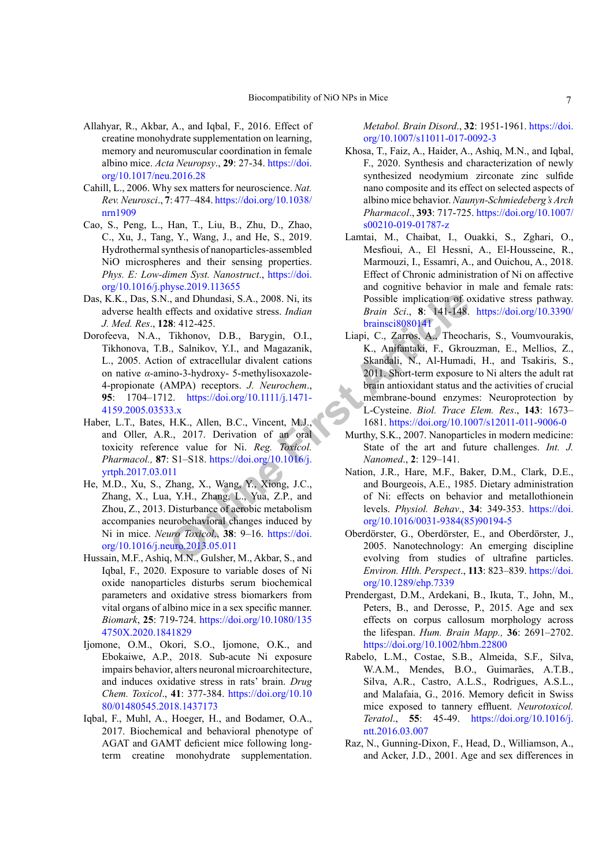- Allahyar, R., Akbar, A., and Iqbal, F., 2016. Effect of creatine monohydrate supplementation on learning, memory and neuromuscular coordination in female albino mice. *Acta Neuropsy*., **29**: 27-34. [https://doi.](https://doi.org/10.1017/neu.2016.28) [org/10.1017/neu.2016.28](https://doi.org/10.1017/neu.2016.28)
- Cahill, L., 2006. Why sex matters for neuroscience. *Nat. Rev. Neurosci*., **7**: 477–484. [https://doi.org/10.1038/](https://doi.org/10.1038/nrn1909) [nrn1909](https://doi.org/10.1038/nrn1909)
- Cao, S., Peng, L., Han, T., Liu, B., Zhu, D., Zhao, C., Xu, J., Tang, Y., Wang, J., and He, S., 2019. Hydrothermal synthesis of nanoparticles-assembled NiO microspheres and their sensing properties. *Phys. E: Low-dimen Syst. Nanostruct*., [https://doi.](https://doi.org/10.1016/j.physe.2019.113655) [org/10.1016/j.physe.2019.113655](https://doi.org/10.1016/j.physe.2019.113655)
- Das, K.K., Das, S.N., and Dhundasi, S.A., 2008. Ni, its adverse health effects and oxidative stress. *Indian J. Med. Res*., **128**: 412-425.
- Dorofeeva, N.A., Tikhonov, D.B., Barygin, O.I., Tikhonova, T.B., Salnikov, Y.I., and Magazanik, L., 2005. Action of extracellular divalent cations on native *α*-amino-3-hydroxy- 5-methylisoxazole-4-propionate (AMPA) receptors. *J. Neurochem*., **95**: 1704–1712. https://doi.org/10.1111/j.1471- [4159.2005.03533.x](https://doi.org/10.1111/j.1471-4159.2005.03533.x)
- Haber, L.T., Bates, H.K., Allen, B.C., Vincent, M.J., and Oller, A.R., 2017. Derivation of an oral toxicity reference value for Ni. *Reg. Toxicol. Pharmacol.,* **87**: S1–S18. https://doi.org/10.1016/j. [yrtph.2017.03.011](https://doi.org/10.1016/j.yrtph.2017.03.011)
- He, M.D., Xu, S., Zhang, X., Wang, Y., Xiong, J.C., Zhang, X., Lua, Y.H., Zhang, L., Yua, Z.P., and Zhou, Z., 2013. Disturbance of aerobic metabolism accompanies neurobehavioral changes induced by Ni in mice. *Neuro Toxicol*., **38**: 9–16. https://doi. [org/10.1016/j.neuro.2013.05.011](https://doi.org/10.1016/j.neuro.2013.05.011)
- Hussain, M.F., Ashiq, M.N., Gulsher, M., Akbar, S., and Iqbal, F., 2020. Exposure to variable doses of Ni oxide nanoparticles disturbs serum biochemical parameters and oxidative stress biomarkers from vital organs of albino mice in a sex specific manner. *Biomark*, **25**: 719-724. [https://doi.org/10.1080/135](https://doi.org/10.1080/1354750X.2020.1841829) [4750X.2020.1841829](https://doi.org/10.1080/1354750X.2020.1841829)
- Ijomone, O.M., Okori, S.O., Ijomone, O.K., and Ebokaiwe, A.P., 2018. Sub-acute Ni exposure impairs behavior, alters neuronal microarchitecture, and induces oxidative stress in rats' brain. *Drug Chem. Toxicol*., **41**: 377-384. [https://doi.org/10.10](https://doi.org/10.1080/01480545.2018.1437173) [80/01480545.2018.1437173](https://doi.org/10.1080/01480545.2018.1437173)
- Iqbal, F., Muhl, A., Hoeger, H., and Bodamer, O.A., 2017. Biochemical and behavioral phenotype of AGAT and GAMT deficient mice following longterm creatine monohydrate supplementation.

*Metabol. Brain Disord*., **32**: 1951-1961. [https://doi.](https://doi.org/10.1007/s11011-017-0092-3) [org/10.1007/s11011-017-0092-3](https://doi.org/10.1007/s11011-017-0092-3)

- Khosa, T., Faiz, A., Haider, A., Ashiq, M.N., and Iqbal, F., 2020. Synthesis and characterization of newly synthesized neodymium zirconate zinc sulfide nano composite and its effect on selected aspects of albino mice behavior. *Naunyn-Schmiedeberg's Arch Pharmacol*., **393**: 717-725. [https://doi.org/10.1007/](https://doi.org/10.1007/s00210-019-01787-z) [s00210-019-01787-z](https://doi.org/10.1007/s00210-019-01787-z)
- Lamtai, M., Chaibat, I., Ouakki, S., Zghari, O., Mesfioui, A., El Hessni, A., El-Housseine, R., Marmouzi, I., Essamri, A., and Ouichou, A., 2018. Effect of Chronic administration of Ni on affective and cognitive behavior in male and female rats: Possible implication of oxidative stress pathway. *Brain Sci*., **8**: 141-148. [https://doi.org/10.3390/](https://doi.org/10.3390/brainsci8080141) brainsci8080141
- **and Dhundasi, S.A., 2008. Ni, its**<br> **Philadelect and oxidative stress.** *Indian*<br> **Brain Sci., 8: 141-148.**<br> **Brain Sci., 8: 141-148.**<br> **C. Carries: Brain Sci., 2016.**<br> **C. Carries: C. Carries: C. Carries:** Liapi, C., Zarros, A., Theocharis, S., Voumvourakis, K., Anifantaki, F., Gkrouzman, E., Mellios, Z., Skandali, N., Al-Humadi, H., and Tsakiris, S., 2011. Short-term exposure to Ni alters the adult rat brain antioxidant status and the activities of crucial membrane-bound enzymes: Neuroprotection by L-Cysteine. *Biol. Trace Elem. Res*., **143**: 1673– 1681.<https://doi.org/10.1007/s12011-011-9006-0>
	- Murthy, S.K., 2007. Nanoparticles in modern medicine: State of the art and future challenges. *Int. J. Nanomed*., **2**: 129–141.
	- Nation, J.R., Hare, M.F., Baker, D.M., Clark, D.E., and Bourgeois, A.E., 1985. Dietary administration of Ni: effects on behavior and metallothionein levels. *Physiol. Behav*., **34**: 349-353. [https://doi.](https://doi.org/10.1016/0031-9384(85)90194-5) [org/10.1016/0031-9384\(85\)90194-5](https://doi.org/10.1016/0031-9384(85)90194-5)
	- Oberdörster, G., Oberdörster, E., and Oberdörster, J., 2005. Nanotechnology: An emerging discipline evolving from studies of ultrafine particles. *Environ. Hlth. Perspect*., **113**: 823–839. [https://doi.](https://doi.org/10.1289/ehp.7339) [org/10.1289/ehp.7339](https://doi.org/10.1289/ehp.7339)
	- Prendergast, D.M., Ardekani, B., Ikuta, T., John, M., Peters, B., and Derosse, P., 2015. Age and sex effects on corpus callosum morphology across the lifespan. *Hum. Brain Mapp.,* **36**: 2691–2702. <https://doi.org/10.1002/hbm.22800>
	- Rabelo, L.M., Costae, S.B., Almeida, S.F., Silva, W.A.M., Mendes, B.O., Guimarães, A.T.B., Silva, A.R., Castro, A.L.S., Rodrigues, A.S.L., and Malafaia, G., 2016. Memory deficit in Swiss mice exposed to tannery effluent. *Neurotoxicol. Teratol*., **55**: 45-49. [https://doi.org/10.1016/j.](https://doi.org/10.1016/j.ntt.2016.03.007) [ntt.2016.03.007](https://doi.org/10.1016/j.ntt.2016.03.007)
	- Raz, N., Gunning-Dixon, F., Head, D., Williamson, A., and Acker, J.D., 2001. Age and sex differences in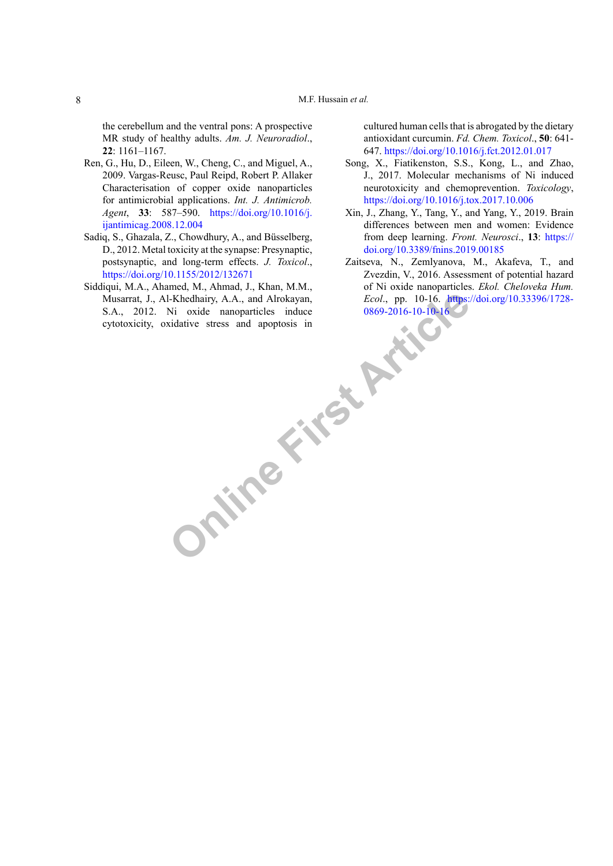the cerebellum and the ventral pons: A prospective MR study of healthy adults. *Am. J. Neuroradiol*., **22**: 1161–1167.

- Ren, G., Hu, D., Eileen, W., Cheng, C., and Miguel, A., 2009. Vargas-Reusc, Paul Reipd, Robert P. Allaker Characterisation of copper oxide nanoparticles for antimicrobial applications. *Int. J. Antimicrob. Agent*, **33**: 587–590. [https://doi.org/10.1016/j.](https://doi.org/10.1016/j.ijantimicag.2008.12.004) [ijantimicag.2008.12.004](https://doi.org/10.1016/j.ijantimicag.2008.12.004)
- Sadiq, S., Ghazala, Z., Chowdhury, A., and Büsselberg, D., 2012. Metal toxicity at the synapse: Presynaptic, postsynaptic, and long-term effects. *J. Toxicol*., <https://doi.org/10.1155/2012/132671>
- I-Khedhairy, A.A., and Alrokayan,<br>Ni oxide nanoparti[cle](https://doi.org/10.33396/1728-0869-2016-10-10-16)s induce<br>idative stress and apoptosis in Siddiqui, M.A., Ahamed, M., Ahmad, J., Khan, M.M., Musarrat, J., Al-Khedhairy, A.A., and Alrokayan, S.A., 2012. Ni oxide nanoparticles induce cytotoxicity, oxidative stress and apoptosis in

cultured human cells that is abrogated by the dietary antioxidant curcumin. *Fd. Chem. Toxicol*., **50**: 641- 647.<https://doi.org/10.1016/j.fct.2012.01.017>

- Song, X., Fiatikenston, S.S., Kong, L., and Zhao, J., 2017. Molecular mechanisms of Ni induced neurotoxicity and chemoprevention. *Toxicology*, <https://doi.org/10.1016/j.tox.2017.10.006>
- Xin, J., Zhang, Y., Tang, Y., and Yang, Y., 2019. Brain differences between men and women: Evidence from deep learning. *Front. Neurosci*., **13**: [https://](https://doi.org/10.3389/fnins.2019.00185) [doi.org/10.3389/fnins.2019.00185](https://doi.org/10.3389/fnins.2019.00185)
- Zaitseva, N., Zemlyanova, M., Akafeva, T., and Zvezdin, V., 2016. Assessment of potential hazard of Ni oxide nanoparticles. *Ekol. Cheloveka Hum. Ecol*., pp. 10-16. [https://doi.org/10.33396/1728-](https://doi.org/10.33396/1728-0869-2016-10-10-16) 0869-2016-10-10-16

8